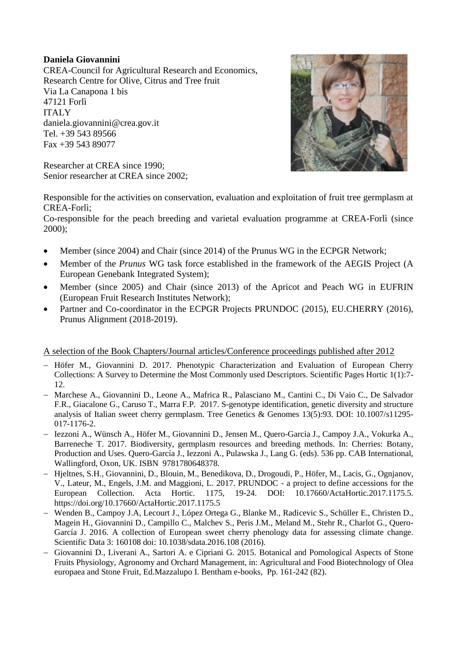## **Daniela Giovannini**

CREA-Council for Agricultural Research and Economics, Research Centre for Olive, Citrus and Tree fruit Via La Canapona 1 bis 47121 Forlì ITALY daniela.giovannini@crea.gov.it Tel. +39 543 89566 Fax +39 543 89077

Researcher at CREA since 1990; Senior researcher at CREA since 2002;



Responsible for the activities on conservation, evaluation and exploitation of fruit tree germplasm at CREA-Forlì;

Co-responsible for the peach breeding and varietal evaluation programme at CREA-Forlì (since 2000);

- Member (since 2004) and Chair (since 2014) of the Prunus WG in the ECPGR Network;
- Member of the *Prunus* WG task force established in the framework of the AEGIS Project (A European Genebank Integrated System);
- Member (since 2005) and Chair (since 2013) of the Apricot and Peach WG in EUFRIN (European Fruit Research Institutes Network);
- Partner and Co-coordinator in the ECPGR Projects PRUNDOC (2015), EU.CHERRY (2016), Prunus Alignment (2018-2019).

## A selection of the Book Chapters/Journal articles/Conference proceedings published after 2012

- Höfer M., Giovannini D. 2017. Phenotypic Characterization and Evaluation of European Cherry Collections: A Survey to Determine the Most Commonly used Descriptors. Scientific Pages Hortic 1(1):7- 12.
- Marchese A., Giovannini D., Leone A., Mafrica R., Palasciano M., Cantini C., Di Vaio C., De Salvador F.R., Giacalone G., Caruso T., Marra F.P. 2017. S-genotype identification, genetic diversity and structure analysis of Italian sweet cherry germplasm. Tree Genetics & Genomes 13(5):93. DOI: 10.1007/s11295- 017-1176-2.
- Iezzoni A., Wünsch A., Höfer M., Giovannini D., Jensen M., Quero-Garcia J., Campoy J.A., Vokurka A., Barreneche T. 2017. Biodiversity, germplasm resources and breeding methods. In: Cherries: Botany, Production and Uses. Quero-García J., Iezzoni A., Pulawska J., Lang G. (eds). 536 pp. CAB International, Wallingford, Oxon, UK. ISBN 9781780648378.
- Hjeltnes, S.H., Giovannini, D., Blouin, M., Benedikova, D., Drogoudi, P., Höfer, M., Lacis, G., Ognjanov, V., Lateur, M., Engels, J.M. and Maggioni, L. 2017. PRUNDOC - a project to define accessions for the European Collection. Acta Hortic. 1175, 19-24. DOI: 10.17660/ActaHortic.2017.1175.5. https://doi.org/10.17660/ActaHortic.2017.1175.5
- Wenden B., Campoy J.A, Lecourt J., López Ortega G., Blanke M., Radicevic S., Schüller E., Christen D., Magein H., Giovannini D., Campillo C., Malchev S., Peris J.M., Meland M., Stehr R., Charlot G., Quero-García J. 2016. A collection of European sweet cherry phenology data for assessing climate change. Scientific Data 3: 160108 doi: 10.1038/sdata.2016.108 (2016).
- Giovannini D., Liverani A., Sartori A. e Cipriani G. 2015. Botanical and Pomological Aspects of Stone Fruits Physiology, Agronomy and Orchard Management, in: Agricultural and Food Biotechnology of Olea europaea and Stone Fruit, Ed.Mazzalupo I. Bentham e-books, Pp. 161-242 (82).